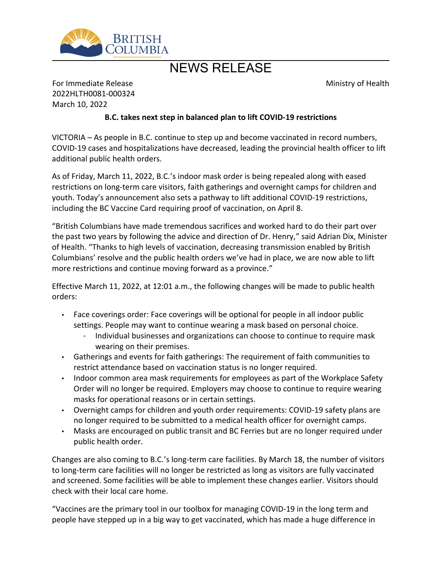

## NEWS RELEASE

Ministry of Health

For Immediate Release 2022HLTH0081-000324 March 10, 2022

## **B.C. takes next step in balanced plan to lift COVID-19 restrictions**

VICTORIA – As people in B.C. continue to step up and become vaccinated in record numbers, COVID-19 cases and hospitalizations have decreased, leading the provincial health officer to lift additional public health orders.

As of Friday, March 11, 2022, B.C.'s indoor mask order is being repealed along with eased restrictions on long-term care visitors, faith gatherings and overnight camps for children and youth. Today's announcement also sets a pathway to lift additional COVID-19 restrictions, including the BC Vaccine Card requiring proof of vaccination, on April 8.

͞British Columbians have made tremendous sacrifices and worked hard to do their part over the past two years by following the advice and direction of Dr. Henry," said Adrian Dix, Minister of Health. "Thanks to high levels of vaccination, decreasing transmission enabled by British Columbians' resolve and the public health orders we've had in place, we are now able to lift more restrictions and continue moving forward as a province.<sup>"</sup>

Effective March 11, 2022, at 12:01 a.m., the following changes will be made to public health orders:

- Face coverings order: Face coverings will be optional for people in all indoor public settings. People may want to continue wearing a mask based on personal choice.
	- Individual businesses and organizations can choose to continue to require mask wearing on their premises.
- Gatherings and events for faith gatherings: The requirement of faith communities to restrict attendance based on vaccination status is no longer required.
- Indoor common area mask requirements for employees as part of the Workplace Safety Order will no longer be required. Employers may choose to continue to require wearing masks for operational reasons or in certain settings.
- Overnight camps for children and youth order requirements: COVID-19 safety plans are no longer required to be submitted to a medical health officer for overnight camps.
- Masks are encouraged on public transit and BC Ferries but are no longer required under public health order.

Changes are also coming to B.C.'s long-term care facilities. By March 18, the number of visitors to long-term care facilities will no longer be restricted as long as visitors are fully vaccinated and screened. Some facilities will be able to implement these changes earlier. Visitors should check with their local care home.

͞Vaccines are the primary tool in our toolbox for managing COVID-19 in the long term and people have stepped up in a big way to get vaccinated, which has made a huge difference in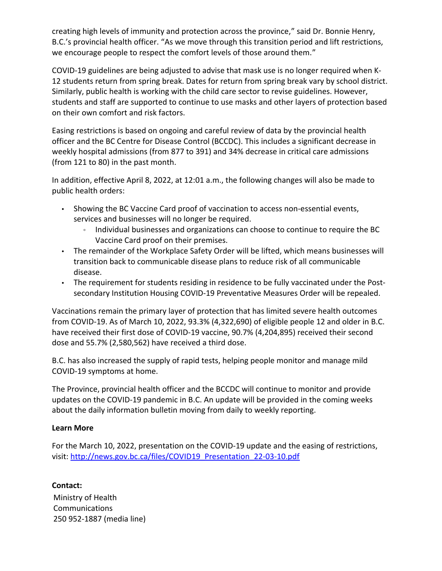creating high levels of immunity and protection across the province," said Dr. Bonnie Henry, B.C.'s provincial health officer. "As we move through this transition period and lift restrictions, we encourage people to respect the comfort levels of those around them.<sup>"</sup>

COVID-19 guidelines are being adjusted to advise that mask use is no longer required when K-12 students return from spring break. Dates for return from spring break vary by school district. Similarly, public health is working with the child care sector to revise guidelines. However, students and staff are supported to continue to use masks and other layers of protection based on their own comfort and risk factors.

Easing restrictions is based on ongoing and careful review of data by the provincial health officer and the BC Centre for Disease Control (BCCDC). This includes a significant decrease in weekly hospital admissions (from 877 to 391) and 34% decrease in critical care admissions (from 121 to 80) in the past month.

In addition, effective April 8, 2022, at 12:01 a.m., the following changes will also be made to public health orders:

- Showing the BC Vaccine Card proof of vaccination to access non-essential events, services and businesses will no longer be required.
	- o Individual businesses and organizations can choose to continue to require the BC Vaccine Card proof on their premises.
- The remainder of the Workplace Safety Order will be lifted, which means businesses will transition back to communicable disease plans to reduce risk of all communicable disease.
- The requirement for students residing in residence to be fully vaccinated under the Postsecondary Institution Housing COVID-19 Preventative Measures Order will be repealed.

Vaccinations remain the primary layer of protection that has limited severe health outcomes from COVID-19. As of March 10, 2022, 93.3% (4,322,690) of eligible people 12 and older in B.C. have received their first dose of COVID-19 vaccine, 90.7% (4,204,895) received their second dose and 55.7% (2,580,562) have received a third dose.

B.C. has also increased the supply of rapid tests, helping people monitor and manage mild COVID-19 symptoms at home.

The Province, provincial health officer and the BCCDC will continue to monitor and provide updates on the COVID-19 pandemic in B.C. An update will be provided in the coming weeks about the daily information bulletin moving from daily to weekly reporting.

## **Learn More**

For the March 10, 2022, presentation on the COVID-19 update and the easing of restrictions, visit: [http://news.gov.bc.ca/files/COVID19\\_Presentation\\_22-03-10.pdf](http://news.gov.bc.ca/files/COVID19_Presentation_22-03-10.pdf)

Ministry of Health Communications 250 952-1887 (media line) **Contact:**